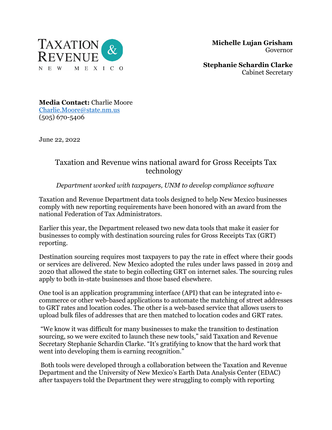

 **Michelle Lujan Grisham** Governor

**Stephanie Schardin Clarke** Cabinet Secretary

**Media Contact:** Charlie Moore [Charlie.Moore@state.nm.us](mailto:Charlie.Moore@state.nm.us) (505) 670-5406

June 22, 2022

## Taxation and Revenue wins national award for Gross Receipts Tax technology

*Department worked with taxpayers, UNM to develop compliance software*

Taxation and Revenue Department data tools designed to help New Mexico businesses comply with new reporting requirements have been honored with an award from the national Federation of Tax Administrators.

Earlier this year, the Department released two new data tools that make it easier for businesses to comply with destination sourcing rules for Gross Receipts Tax (GRT) reporting.

Destination sourcing requires most taxpayers to pay the rate in effect where their goods or services are delivered. New Mexico adopted the rules under laws passed in 2019 and 2020 that allowed the state to begin collecting GRT on internet sales. The sourcing rules apply to both in-state businesses and those based elsewhere.

One tool is an application programming interface (API) that can be integrated into ecommerce or other web-based applications to automate the matching of street addresses to GRT rates and location codes. The other is a web-based service that allows users to upload bulk files of addresses that are then matched to location codes and GRT rates.

"We know it was difficult for many businesses to make the transition to destination sourcing, so we were excited to launch these new tools," said Taxation and Revenue Secretary Stephanie Schardin Clarke. "It's gratifying to know that the hard work that went into developing them is earning recognition."

Both tools were developed through a collaboration between the Taxation and Revenue Department and the University of New Mexico's Earth Data Analysis Center (EDAC) after taxpayers told the Department they were struggling to comply with reporting